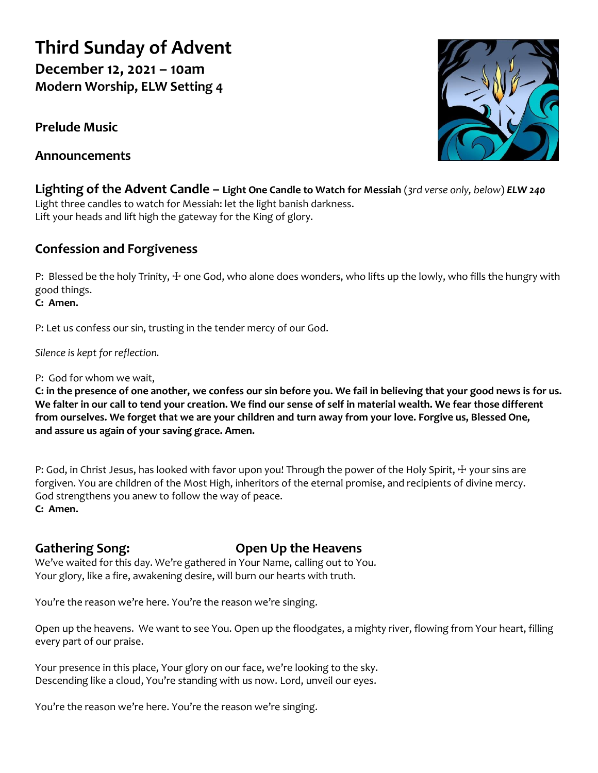## **Third Sunday of Advent**

**December 12, 2021 – 10am Modern Worship, ELW Setting 4**

#### **Prelude Music**

**Announcements**



**Lighting of the Advent Candle – Light One Candle to Watch for Messiah** (*3rd verse only, below*) *ELW 240* Light three candles to watch for Messiah: let the light banish darkness. Lift your heads and lift high the gateway for the King of glory.

#### **Confession and Forgiveness**

P: Blessed be the holy Trinity,  $\pm$  one God, who alone does wonders, who lifts up the lowly, who fills the hungry with good things.

#### **C: Amen.**

P: Let us confess our sin, trusting in the tender mercy of our God.

*Silence is kept for reflection.*

P: God for whom we wait,

**C: in the presence of one another, we confess our sin before you. We fail in believing that your good news is for us. We falter in our call to tend your creation. We find our sense of self in material wealth. We fear those different from ourselves. We forget that we are your children and turn away from your love. Forgive us, Blessed One, and assure us again of your saving grace. Amen.**

P: God, in Christ Jesus, has looked with favor upon you! Through the power of the Holy Spirit,  $∔$  your sins are forgiven. You are children of the Most High, inheritors of the eternal promise, and recipients of divine mercy. God strengthens you anew to follow the way of peace. **C: Amen.**

#### **Gathering Song: Open Up the Heavens**

We've waited for this day. We're gathered in Your Name, calling out to You. Your glory, like a fire, awakening desire, will burn our hearts with truth.

You're the reason we're here. You're the reason we're singing.

Open up the heavens. We want to see You. Open up the floodgates, a mighty river, flowing from Your heart, filling every part of our praise.

Your presence in this place, Your glory on our face, we're looking to the sky. Descending like a cloud, You're standing with us now. Lord, unveil our eyes.

You're the reason we're here. You're the reason we're singing.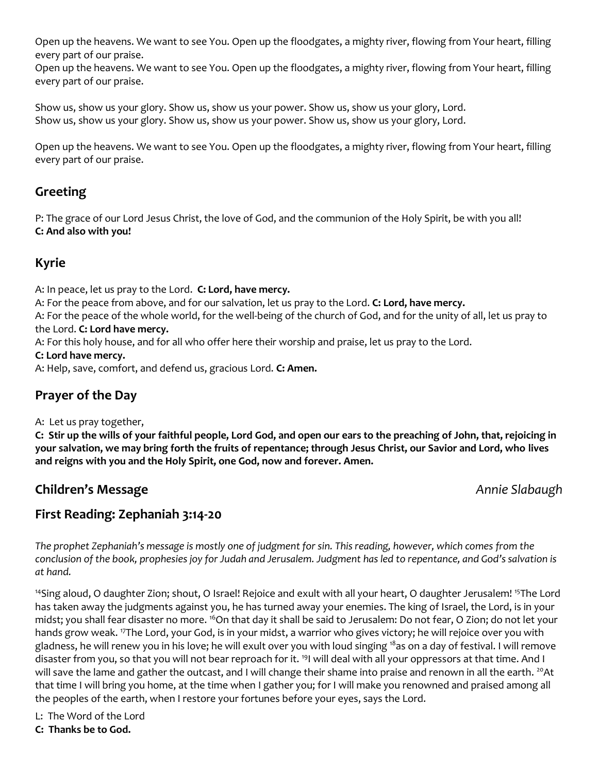Open up the heavens. We want to see You. Open up the floodgates, a mighty river, flowing from Your heart, filling every part of our praise.

Open up the heavens. We want to see You. Open up the floodgates, a mighty river, flowing from Your heart, filling every part of our praise.

Show us, show us your glory. Show us, show us your power. Show us, show us your glory, Lord. Show us, show us your glory. Show us, show us your power. Show us, show us your glory, Lord.

Open up the heavens. We want to see You. Open up the floodgates, a mighty river, flowing from Your heart, filling every part of our praise.

### **Greeting**

P: The grace of our Lord Jesus Christ, the love of God, and the communion of the Holy Spirit, be with you all! **C: And also with you!**

#### **Kyrie**

A: In peace, let us pray to the Lord. **C: Lord, have mercy.**

A: For the peace from above, and for our salvation, let us pray to the Lord. **C: Lord, have mercy.**

A: For the peace of the whole world, for the well-being of the church of God, and for the unity of all, let us pray to the Lord. **C: Lord have mercy.**

A: For this holy house, and for all who offer here their worship and praise, let us pray to the Lord.

#### **C: Lord have mercy.**

A: Help, save, comfort, and defend us, gracious Lord. **C: Amen.**

#### **Prayer of the Day**

A: Let us pray together,

**C: Stir up the wills of your faithful people, Lord God, and open our ears to the preaching of John, that, rejoicing in your salvation, we may bring forth the fruits of repentance; through Jesus Christ, our Savior and Lord, who lives and reigns with you and the Holy Spirit, one God, now and forever. Amen.**

#### **Children's Message** *Annie Slabaugh Annie Slabaugh Annie Slabaugh*

#### **First Reading: Zephaniah 3:14-20**

*The prophet Zephaniah's message is mostly one of judgment for sin. This reading, however, which comes from the conclusion of the book, prophesies joy for Judah and Jerusalem. Judgment has led to repentance, and God's salvation is at hand.*

<sup>14</sup>Sing aloud, O daughter Zion; shout, O Israel! Rejoice and exult with all your heart, O daughter Jerusalem! <sup>15</sup>The Lord has taken away the judgments against you, he has turned away your enemies. The king of Israel, the Lord, is in your midst; you shall fear disaster no more. <sup>16</sup>On that day it shall be said to Jerusalem: Do not fear, O Zion; do not let your hands grow weak. <sup>17</sup>The Lord, your God, is in your midst, a warrior who gives victory; he will rejoice over you with gladness, he will renew you in his love; he will exult over you with loud singing <sup>18</sup>as on a day of festival. I will remove disaster from you, so that you will not bear reproach for it. <sup>19</sup>I will deal with all your oppressors at that time. And I will save the lame and gather the outcast, and I will change their shame into praise and renown in all the earth. <sup>20</sup>At that time I will bring you home, at the time when I gather you; for I will make you renowned and praised among all the peoples of the earth, when I restore your fortunes before your eyes, says the Lord.

L: The Word of the Lord

**C: Thanks be to God.**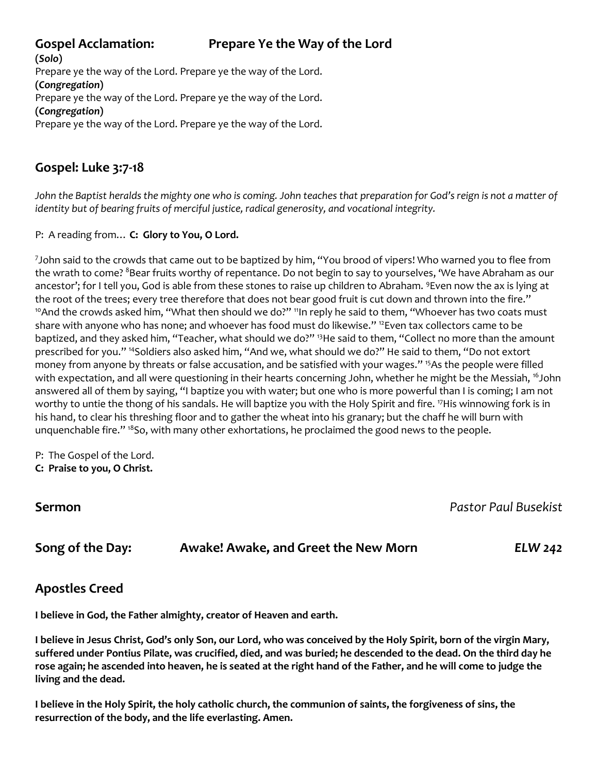**Gospel Acclamation: Prepare Ye the Way of the Lord (***Solo***)** Prepare ye the way of the Lord. Prepare ye the way of the Lord. **(***Congregation***)** Prepare ye the way of the Lord. Prepare ye the way of the Lord. **(***Congregation***)** Prepare ye the way of the Lord. Prepare ye the way of the Lord.

#### **Gospel: Luke 3:7-18**

*John the Baptist heralds the mighty one who is coming. John teaches that preparation for God's reign is not a matter of identity but of bearing fruits of merciful justice, radical generosity, and vocational integrity.*

P: A reading from… **C: Glory to You, O Lord.**

7 John said to the crowds that came out to be baptized by him, "You brood of vipers! Who warned you to flee from the wrath to come? <sup>8</sup>Bear fruits worthy of repentance. Do not begin to say to yourselves, 'We have Abraham as our ancestor'; for I tell you, God is able from these stones to raise up children to Abraham. <sup>9</sup>Even now the ax is lying at the root of the trees; every tree therefore that does not bear good fruit is cut down and thrown into the fire."  $10$ And the crowds asked him, "What then should we do?"  $11$ In reply he said to them, "Whoever has two coats must share with anyone who has none; and whoever has food must do likewise." <sup>12</sup>Even tax collectors came to be baptized, and they asked him, "Teacher, what should we do?" <sup>13</sup>He said to them, "Collect no more than the amount prescribed for you." <sup>14</sup>Soldiers also asked him, "And we, what should we do?" He said to them, "Do not extort money from anyone by threats or false accusation, and be satisfied with your wages." <sup>15</sup>As the people were filled with expectation, and all were questioning in their hearts concerning John, whether he might be the Messiah, <sup>16</sup>John answered all of them by saying, "I baptize you with water; but one who is more powerful than I is coming; I am not worthy to untie the thong of his sandals. He will baptize you with the Holy Spirit and fire. <sup>17</sup>His winnowing fork is in his hand, to clear his threshing floor and to gather the wheat into his granary; but the chaff he will burn with unquenchable fire." <sup>18</sup>So, with many other exhortations, he proclaimed the good news to the people.

P: The Gospel of the Lord.

**C: Praise to you, O Christ.**

**Sermon** *Pastor Paul Busekist*

#### **Song of the Day: Awake! Awake, and Greet the New Morn** *ELW 242*

#### **Apostles Creed**

**I believe in God, the Father almighty, creator of Heaven and earth.** 

**I believe in Jesus Christ, God's only Son, our Lord, who was conceived by the Holy Spirit, born of the virgin Mary, suffered under Pontius Pilate, was crucified, died, and was buried; he descended to the dead. On the third day he rose again; he ascended into heaven, he is seated at the right hand of the Father, and he will come to judge the living and the dead.**

**I believe in the Holy Spirit, the holy catholic church, the communion of saints, the forgiveness of sins, the resurrection of the body, and the life everlasting. Amen.**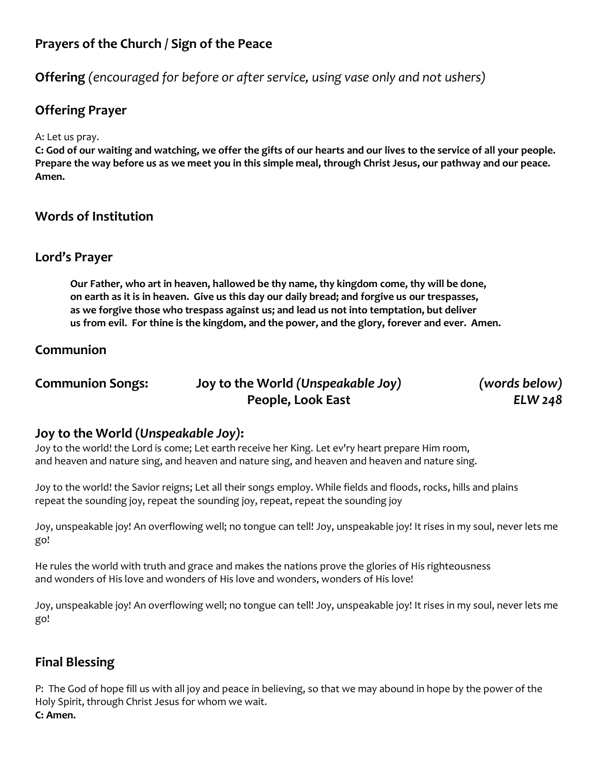### **Prayers of the Church / Sign of the Peace**

**Offering** *(encouraged for before or after service, using vase only and not ushers)*

#### **Offering Prayer**

A: Let us pray.

**C: God of our waiting and watching, we offer the gifts of our hearts and our lives to the service of all your people. Prepare the way before us as we meet you in this simple meal, through Christ Jesus, our pathway and our peace. Amen.**

#### **Words of Institution**

#### **Lord's Prayer**

**Our Father, who art in heaven, hallowed be thy name, thy kingdom come, thy will be done, on earth as it is in heaven. Give us this day our daily bread; and forgive us our trespasses, as we forgive those who trespass against us; and lead us not into temptation, but deliver us from evil. For thine is the kingdom, and the power, and the glory, forever and ever. Amen.**

#### **Communion**

| <b>Communion Songs:</b> | Joy to the World (Unspeakable Joy) | (words below)  |
|-------------------------|------------------------------------|----------------|
|                         | People, Look East                  | <b>ELW 248</b> |

#### **Joy to the World (***Unspeakable Joy)***:**

Joy to the world! the Lord is come; Let earth receive her King. Let ev'ry heart prepare Him room, and heaven and nature sing, and heaven and nature sing, and heaven and heaven and nature sing.

Joy to the world! the Savior reigns; Let all their songs employ. While fields and floods, rocks, hills and plains repeat the sounding joy, repeat the sounding joy, repeat, repeat the sounding joy

Joy, unspeakable joy! An overflowing well; no tongue can tell! Joy, unspeakable joy! It rises in my soul, never lets me go!

He rules the world with truth and grace and makes the nations prove the glories of His righteousness and wonders of His love and wonders of His love and wonders, wonders of His love!

Joy, unspeakable joy! An overflowing well; no tongue can tell! Joy, unspeakable joy! It rises in my soul, never lets me go!

#### **Final Blessing**

P: The God of hope fill us with all joy and peace in believing, so that we may abound in hope by the power of the Holy Spirit, through Christ Jesus for whom we wait. **C: Amen.**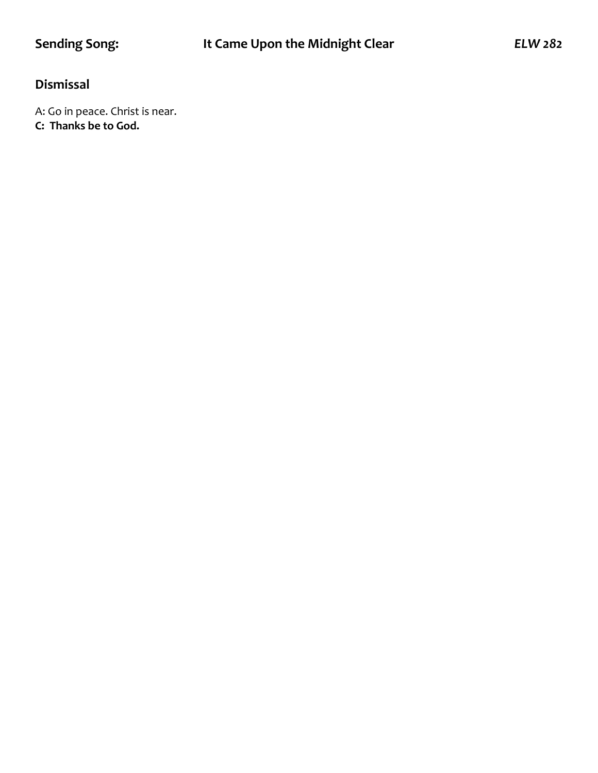### **Dismissal**

A: Go in peace. Christ is near. **C: Thanks be to God.**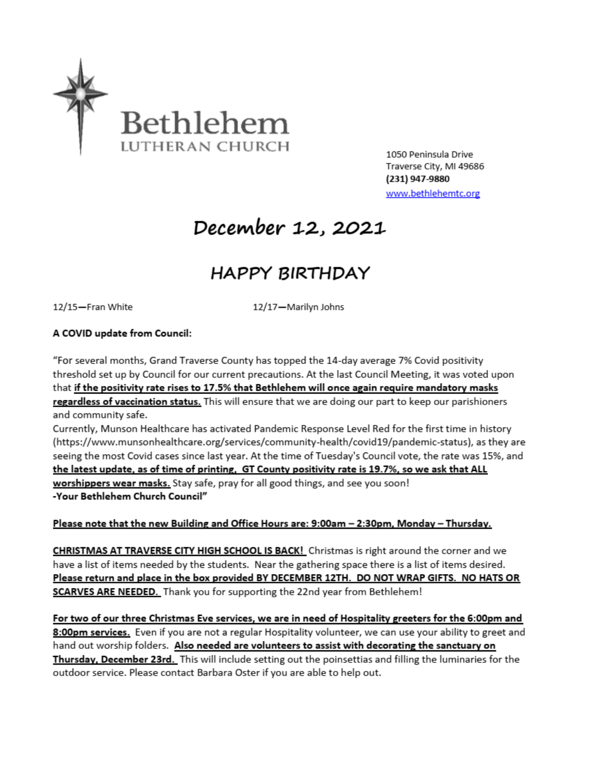

1050 Peninsula Drive Traverse City, MI 49686 (231) 947-9880 www.bethlehemtc.org

## December 12, 2021

## **HAPPY BIRTHDAY**

12/15-Fran White

12/17-Marilyn Johns

#### A COVID update from Council:

"For several months, Grand Traverse County has topped the 14-day average 7% Covid positivity threshold set up by Council for our current precautions. At the last Council Meeting, it was voted upon that if the positivity rate rises to 17.5% that Bethlehem will once again require mandatory masks regardless of vaccination status. This will ensure that we are doing our part to keep our parishioners and community safe. Currently, Munson Healthcare has activated Pandemic Response Level Red for the first time in history

(https://www.munsonhealthcare.org/services/community-health/covid19/pandemic-status), as they are seeing the most Covid cases since last year. At the time of Tuesday's Council vote, the rate was 15%, and the latest update, as of time of printing, GT County positivity rate is 19.7%, so we ask that ALL worshippers wear masks. Stay safe, pray for all good things, and see you soon! -Your Bethlehem Church Council"

#### Please note that the new Building and Office Hours are: 9:00am - 2:30pm, Monday - Thursday.

**CHRISTMAS AT TRAVERSE CITY HIGH SCHOOL IS BACK!** Christmas is right around the corner and we have a list of items needed by the students. Near the gathering space there is a list of items desired. Please return and place in the box provided BY DECEMBER 12TH. DO NOT WRAP GIFTS. NO HATS OR SCARVES ARE NEEDED. Thank you for supporting the 22nd year from Bethlehem!

For two of our three Christmas Eve services, we are in need of Hospitality greeters for the 6:00pm and 8:00pm services. Even if you are not a regular Hospitality volunteer, we can use your ability to greet and hand out worship folders. Also needed are volunteers to assist with decorating the sanctuary on Thursday, December 23rd. This will include setting out the poinsettias and filling the luminaries for the outdoor service. Please contact Barbara Oster if you are able to help out.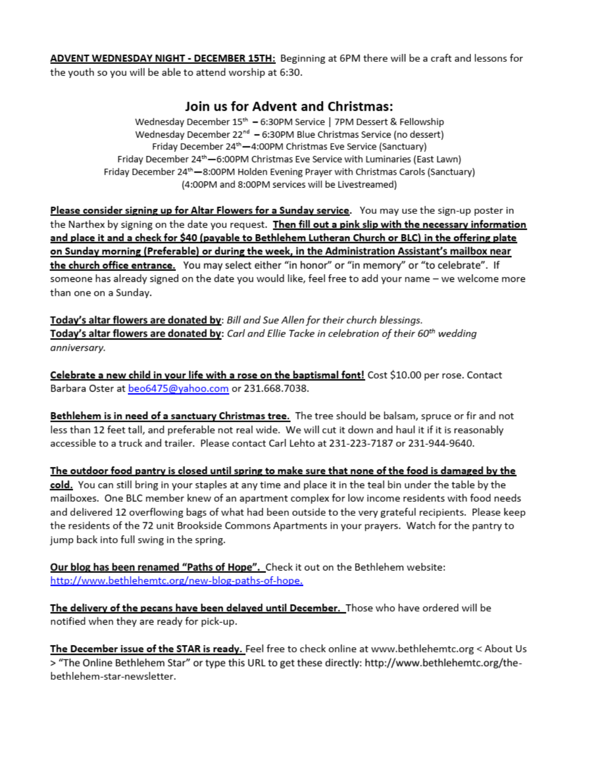**ADVENT WEDNESDAY NIGHT - DECEMBER 15TH:** Beginning at 6PM there will be a craft and lessons for the youth so you will be able to attend worship at 6:30.

#### Join us for Advent and Christmas:

Wednesday December 15th - 6:30PM Service | 7PM Dessert & Fellowship Wednesday December 22<sup>nd</sup> - 6:30PM Blue Christmas Service (no dessert) Friday December 24<sup>th</sup> -4:00PM Christmas Eve Service (Sanctuary) Friday December 24<sup>th</sup> -6:00PM Christmas Eve Service with Luminaries (East Lawn) Friday December 24<sup>th</sup> - 8:00PM Holden Evening Prayer with Christmas Carols (Sanctuary) (4:00PM and 8:00PM services will be Livestreamed)

Please consider signing up for Altar Flowers for a Sunday service. You may use the sign-up poster in the Narthex by signing on the date you request. Then fill out a pink slip with the necessary information and place it and a check for \$40 (payable to Bethlehem Lutheran Church or BLC) in the offering plate on Sunday morning (Preferable) or during the week, in the Administration Assistant's mailbox near the church office entrance. You may select either "in honor" or "in memory" or "to celebrate". If someone has already signed on the date you would like, feel free to add your name - we welcome more than one on a Sunday.

Today's altar flowers are donated by: Bill and Sue Allen for their church blessings. Today's altar flowers are donated by: Carl and Ellie Tacke in celebration of their 60<sup>th</sup> wedding anniversary.

Celebrate a new child in your life with a rose on the baptismal font! Cost \$10.00 per rose. Contact Barbara Oster at beo6475@yahoo.com or 231.668.7038.

Bethlehem is in need of a sanctuary Christmas tree. The tree should be balsam, spruce or fir and not less than 12 feet tall, and preferable not real wide. We will cut it down and haul it if it is reasonably accessible to a truck and trailer. Please contact Carl Lehto at 231-223-7187 or 231-944-9640.

The outdoor food pantry is closed until spring to make sure that none of the food is damaged by the cold. You can still bring in your staples at any time and place it in the teal bin under the table by the mailboxes. One BLC member knew of an apartment complex for low income residents with food needs and delivered 12 overflowing bags of what had been outside to the very grateful recipients. Please keep the residents of the 72 unit Brookside Commons Apartments in your prayers. Watch for the pantry to jump back into full swing in the spring.

Our blog has been renamed "Paths of Hope". Check it out on the Bethlehem website: http://www.bethlehemtc.org/new-blog-paths-of-hope.

The delivery of the pecans have been delayed until December. Those who have ordered will be notified when they are ready for pick-up.

The December issue of the STAR is ready. Feel free to check online at www.bethlehemtc.org < About Us > "The Online Bethlehem Star" or type this URL to get these directly: http://www.bethlehemtc.org/thebethlehem-star-newsletter.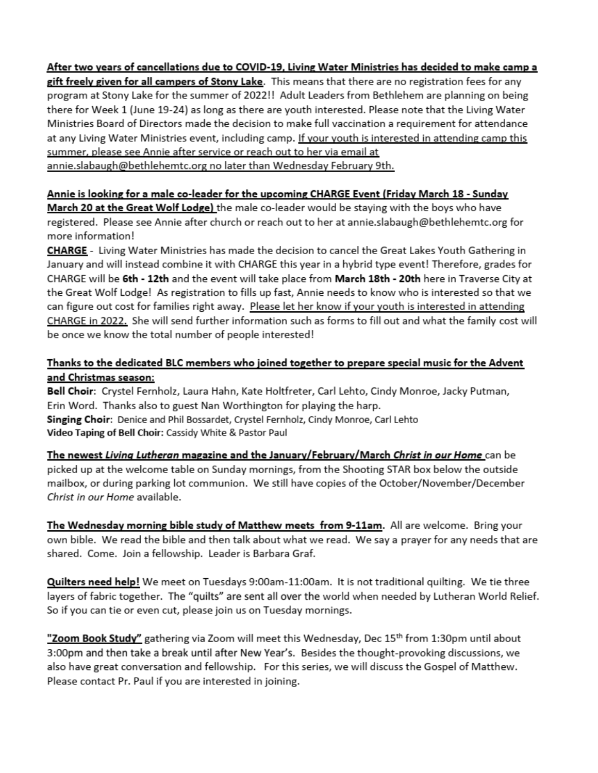After two years of cancellations due to COVID-19, Living Water Ministries has decided to make camp a gift freely given for all campers of Stony Lake. This means that there are no registration fees for any program at Stony Lake for the summer of 2022!! Adult Leaders from Bethlehem are planning on being there for Week 1 (June 19-24) as long as there are youth interested. Please note that the Living Water Ministries Board of Directors made the decision to make full vaccination a requirement for attendance at any Living Water Ministries event, including camp. If your youth is interested in attending camp this summer, please see Annie after service or reach out to her via email at annie.slabaugh@bethlehemtc.org no later than Wednesday February 9th.

Annie is looking for a male co-leader for the upcoming CHARGE Event (Friday March 18 - Sunday

March 20 at the Great Wolf Lodge) the male co-leader would be staying with the boys who have registered. Please see Annie after church or reach out to her at annie.slabaugh@bethlehemtc.org for more information!

CHARGE - Living Water Ministries has made the decision to cancel the Great Lakes Youth Gathering in January and will instead combine it with CHARGE this year in a hybrid type event! Therefore, grades for CHARGE will be 6th - 12th and the event will take place from March 18th - 20th here in Traverse City at the Great Wolf Lodge! As registration to fills up fast, Annie needs to know who is interested so that we can figure out cost for families right away. Please let her know if your youth is interested in attending CHARGE in 2022. She will send further information such as forms to fill out and what the family cost will be once we know the total number of people interested!

#### Thanks to the dedicated BLC members who joined together to prepare special music for the Advent and Christmas season:

Bell Choir: Crystel Fernholz, Laura Hahn, Kate Holtfreter, Carl Lehto, Cindy Monroe, Jacky Putman, Erin Word. Thanks also to guest Nan Worthington for playing the harp. Singing Choir: Denice and Phil Bossardet, Crystel Fernholz, Cindy Monroe, Carl Lehto Video Taping of Bell Choir: Cassidy White & Pastor Paul

The newest Living Lutheran magazine and the January/February/March Christ in our Home can be picked up at the welcome table on Sunday mornings, from the Shooting STAR box below the outside mailbox, or during parking lot communion. We still have copies of the October/November/December Christ in our Home available.

The Wednesday morning bible study of Matthew meets from 9-11am. All are welcome. Bring your own bible. We read the bible and then talk about what we read. We say a prayer for any needs that are shared. Come. Join a fellowship. Leader is Barbara Graf.

Quilters need help! We meet on Tuesdays 9:00am-11:00am. It is not traditional quilting. We tie three layers of fabric together. The "quilts" are sent all over the world when needed by Lutheran World Relief. So if you can tie or even cut, please join us on Tuesday mornings.

"Zoom Book Study" gathering via Zoom will meet this Wednesday, Dec 15<sup>th</sup> from 1:30pm until about 3:00pm and then take a break until after New Year's. Besides the thought-provoking discussions, we also have great conversation and fellowship. For this series, we will discuss the Gospel of Matthew. Please contact Pr. Paul if you are interested in joining.